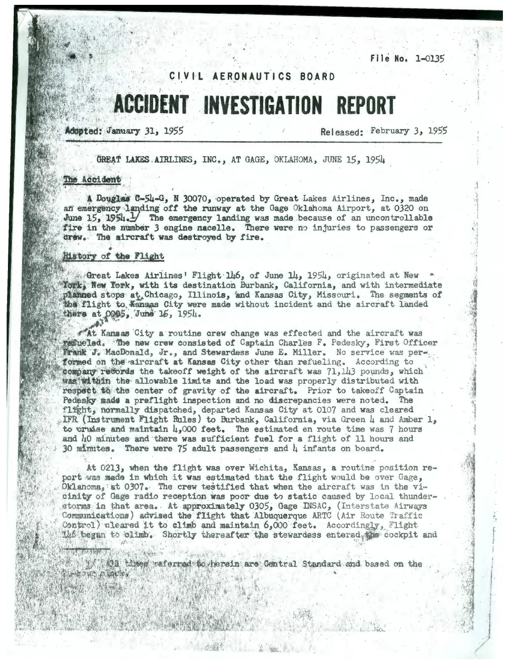File No. 1-0135

# CIVIL AERONAUTICS BOARD

# **ACCIDENT INVESTIGATION REPORT**

Adopted: January 31, 1955

Released: February 3, 1955

GREAT LAKES AIRLINES. INC., AT GAGE, OKLAHOMA, JUNE 15, 1954

# The Accident

A Douglas C-54-G. N 30070. operated by Great Lakes Airlines, Inc., made an emergency landing off the runway at the Gage Oklahoma Airport, at 0320 on June 15, 1954. The emergency landing was made because of an uncontrollable fire in the number 3 engine nacelle. There were no injuries to passengers or Grew. The aircraft was destroyed by fire.

#### History of the Flight

Great Lakes Airlines' Flight 146, of June 14, 1954, originated at New York, New York, with its destination Burbank, California, and with intermediate planned stops at Chicago, Illinois, and Kansas City, Missouri. The segments of the flight to Kansas City were made without incident and the aircraft landed there at 0905, June 15, 1954.

At Kansas City a routine crew change was effected and the aircraft was termeled. The new crew consisted of Captain Charles F. Pedesky. First Officer Frank J. MacDonald, Jr., and Stewardess June E. Miller. No service was performed on the aircraft at Kansas City other than refueling. According to company records the takeoff weight of the aircraft was  $71,113$  pounds, which was within the allowable limits and the load was properly distributed with respect to the center of gravity of the aircraft. Prior to takeoff Captain Pedesky made a preflight inspection and no discrepancies were noted. The flight, normally dispatched, departed Kansas City at 0107 and was cleared IFR (Instrument Flight Rules) to Burbank, California, via Green 4 and Amber 1, to cruise and maintain  $\mu_{\bullet}$ 000 feet. The estimated en route time was 7 hours and 40 minutes and there was sufficient fuel for a flight of 11 hours and 30 minutes. There were  $75$  adult passengers and  $\mu$  infants on board.

At 0213, when the flight was over Wichita, Kansas, a routine position report was made in which it was estimated that the flight would be over Gage, Oklanoma, at 0307. The crew testified that when the aircraft was in the vicinity of Gage radio reception was poor due to static caused by local thunderstorms in that area. At approximately 0305, Gage INSAC, (Interstate Airways Communications) advised the flight that Albuquerque ARTC (Air Route Traffic Control) cleared it to climb and maintain 6,000 feet. Accordingly, Flight Las began to climb. Shortly thereafter the stewardess entered, we cockpit and

13. Mil tites waferred to herein are Central Standard and based on the MOND IN WILSON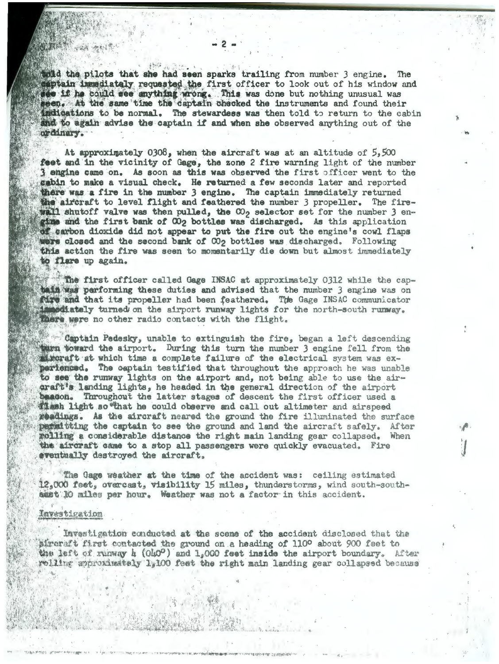wild the pilots that she had seen sparks trailing from number 3 engine. The captain immediately requested the first officer to look out of his window and see if he could see anything wrong. This was done but nothing unusual was seen. At the same time the captain checked the instruments and found their indications to be normal. The stewardess was then told to return to the cabin and to again advise the captain if and when she observed anything out of the ordinary.

At approximately 0308, when the aircraft was at an altitude of  $5,500$ feet and in the vicinity of Gage, the zone 2 fire warning light of the number 3 engine came on. As soon as this was observed the first officer went to the gabin to make a visual check. He returned a few seconds later and reported there was a fire in the number 3 engine. The captain immediately returned the aircraft to level flight and feathered the number 3 propeller. The firewell shutoff valve was then pulled, the CO<sub>2</sub> selector set for the number 3 engine and the first bank of  $\Omega_2$  bottles was discharged. As this application of carbon dioxide did not appear to put the fire out the engine's cowl flaps were closed and the second bank of CO<sub>2</sub> bottles was discharged. Following this action the fire was seen to momentarily die down but almost immediately to flare up again.

The first officer called Gage INSAC at approximately 0312 while the captain was performing these duties and advised that the number 3 engine was on Tire and that its propeller had been feathered. The Gage INSAC communicator stiately turned on the airport runway lights for the north-south runway. There were no other radio contacts with the flight.

Captain Pedesky, unable to extinguish the fire, began a left descending then toward the airport. During this turn the number 3 engine fell from the streraft at which time a complete failure of the electrical system was experienced. The captain testified that throughout the approach he was unable to see the runway lights on the airport and, not being able to use the airaraft's landing lights, he headed in the general direction of the airport baseon. Throughout the latter stages of descent the first officer used a 《集》h light so that he could observe and call out altimeter and airspeed readings. As the aircraft neared the ground the fire illuminated the surface permititing the captain to see the ground and land the aircraft safely. After rolling a considerable distance the right main landing gear collapsed. When the aircraft came to a stop all passengers were quickly evacuated. Fire eventually destroyed the aircraft.

The Gage weather at the time of the accident was: ceiling estimated 12,000 feet, overcast, visibility 15 miles, thunderstorms, wind south-southasst 10 miles per hour. Weather was not a factor in this accident.

#### Investigation

Investigation conducted at the scene of the accident disclosed that the aircraft first contacted the ground on a heading of 110° about 900 feet to the left of runway h (Oh0°) and 1,000 feet inside the airport boundary. After rolling approximately 1,100 feet the right main landing gear collapsed because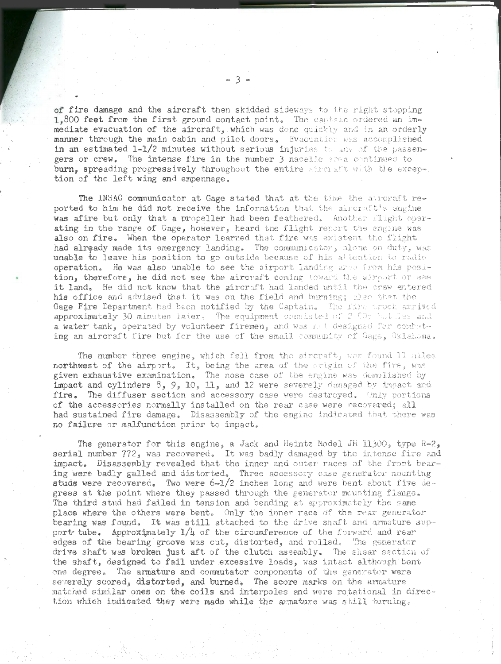of fire damage and the aircraft then skidded sideways to the right stopping 1,800 feet from the first ground contact point. The cantain ordered an immediate evacuation of the aircraft, which was done quickly and in an orderly **manner through the main cabin and pilot doors.** Evacuation was accomplished in an estimated 1-1/2 minutes without serious injuries to any of the passengers or crew. The intense fire in the number 3 nacelle area continued to burn, spreading progressively throughout the entire sixeraft with the exception of the left wing and empennage.

The INSAC communicator at Gage stated that at the time the aureraft reported to him he did not receive the information that the aircr,  $t$ 's engine was afire but only that a propeller had been feathered. Another flight operating in the range of Gage, however, heard the flight report the engine was also on fire, When the operator learned that fire was existent the flight had already made its emergency landing. The communicator, alone on duty, was unable to leave his position to go outside because of his attention to radio operation. He was also unable to see the airport landing area from his position, therefore, he did not see the aircraft coming toward the airport or see it land. He did not know that the aircraft had landed until the crew entered his office and advised that it was on the field and burning; also that the Gage Fire Department had been notified by the Captain. The first truck arrived approximately 30 minutes later, The equipment consisted of 2.00p buttles and  $a$  water tank, operated by volunteer firemen, and was not designed for combuting an aircraft fire but for the use of the small community of Cage, Oklahoma.

The number three engine, which fell from the siroraft, was found 11 miles northwest of the airport. It, being the area of the origin of the fire, was given exhaustive examination. The nose case of the engine was demolished by impact and cylinders  $8, 9, 10, 11$ , and 12 were severely damaged by impact and fire. The diffuser section and accessory case were destroyed, Only portions of the accessories normally installed on the rear case were recovered; all had sustained fire damage. Disassembly of the engine indicated that there was no failure or malfunction prior to impact.

The generator for this engine, a Jack and Heintz Model JH 11300, type R-2, serial number 772, was recovered. It was badly damaged by the intense fire and impact. Disassembly revealed that the inner and outer races of the front bearing were badly galled and distorted. Three accessory case generator mounting studs were recovered. Two were 6-1/2 inches long and were bent about five degrees at the point where they passed through the generator mounting flange. The third stud had failed in tension and bending at approximately the same place where the others were bent. Only the inner race of the rear generator bearing was found. It was still attached to the drive shaft and armature support tube. Approximately  $1/4$  of the circumference of the forward and rear edges of the bearing groove was cut, distorted, and rolled. The generator drive shaft was broken just aft of the clutch assembly. The shear section of the shaft, designed to fail under excessive loads, was intact although bent one degree. The armature and commutator components of the generator were severely scored, distorted, and burned. The score marks on the armature matched similar ones on the coils and interpoles and were rotational in direction which indicated they were made while the armature was still turning.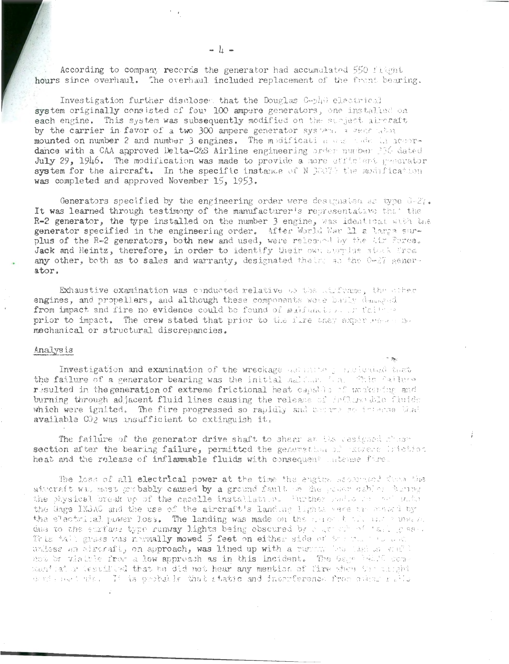According to company records the generator had accumulated 550 flight hours since overhaul. The overhaul included replacement of the front bearing.

Investigation further disclosed that the Douglas Capità electrical system originally consisted of four 100 ampere generators, one installed on each engine. This system was subsequently modified on the subject aircraft by the carrier in favor of a two 300 ampere generator system. a generator mounted on number 2 and number 3 engines. The modification was toded in accordance with a CAA approved Delta-C&S Airline engineering order number 336 dated July 29, 1946. The modification was made to provide a more efficient presentor system for the aircraft. In the specific instance of N 30070 the modification was completed and approved November 15, 1953.

Generators specified by the engineering order were designated as type  $0-2i$ . It was learned through testimony of the manufacturer's representative that the R-2 generator, the type installed on the number 3 engine, was identical with the generator specified in the engineering order. After World War 11 a large sur-plus of the R-2 generators, both new and used, were released by the tim Force. Jack and Heintz, therefore, in order to identify their own susplus stack from any other, both as to sales and warranty, designated theirs as the G-27 generator.

Exhaustive examination was conducted relative to the stiffware, the other engines, and propellers, and although these components were badly damaged from impact and fire no evidence could be found of maifunction or faither prior to impact. The crew stated that prior to the fire they experiment no mechanical or structural discrepancies.

## Analysis

Investigation and examination of the wreckage assume personal that the failure of a generator bearing was the initial maldum find this failure resulted in the generation of extreme frictional heat capable of workening and burning through adjacent fluid lines causing the release of fatture dole fluids which were ignited. The fire progressed so rapidly and became so interne that available  $002$  was insufficient to extinguish it.

The failure of the generator drive shaft to shear an its casigned chase section after the bearing failure, permitted the generation of racene intetion heat and the release of inflammable fluids with consequent intense fire.

The loss of all electrical power at the time the engine Repermend them the aiveraft was most probably caused by a ground fault on the poss cables forme the physical break up of the caselle installation. Further radio on and subs the Gage INSAC and the use of the aircraft's landing lights were treated by the electrical power loss. The landing was made on the mappick of and a magni due to the eurlass type runway lights being obscured by each of tail gase. This tall gress was normally mowed 5 feet on either side of the full be conunlisse an aircraft, on approach, was lined up with a runny bestage of etch not be viaitle from a low approach as in this incident. The Gage PADIC comman'tai a dessified that be did not hear any mention of fire when the chiphieach neat that It is probable that static and interference from other ratio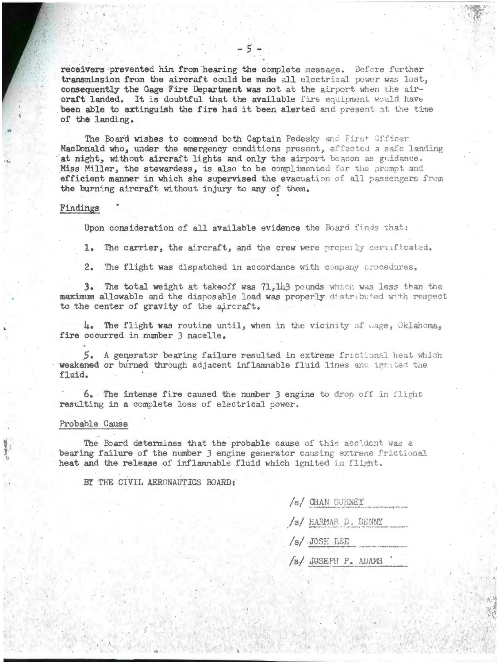receivers prevented him from hearing the complete message. Before further transmission from the aircraft could be made all electrical power was lost, consequently the Gage Fire Department was not at the airport when the aircraft landed. It is doubtful that the available fire equipment would have been able to extinguish the fire had it been alerted and present at the time of the landing.

The Board wishes to commend both Captain Pedesky and First Officer MacDonald who, under the emergency conditions present, effected a safe landing at night, without aircraft lights and only the airport beacon as guidance. Miss Miller, the stewardess, is also to be complimented for the prompt and efficient manner in which she supervised the evacuation of all passengers from the burning aircraft without injury to any of them.

#### Findings

Upon consideration of all available evidence the Board finds that:

The carrier, the aircraft, and the crew were properly certificated,  $1.$ 

 $2.$ The flight was dispatched in accordance with company procedures.

3. The total weight at takeoff was 71,143 pounds which was less than the maximum allowable and the disposable load was properly distributed with respect to the center of gravity of the aircraft.

 $\cdot$  4. The flight was routine until, when in the vicinity of uage, Oklahoma. fire occurred in number 3 nacelle.

5. A generator bearing failure resulted in extreme frictional heat which weakened or burned through adjacent inflammable fluid lines and ignited the fluid.

6. The intense fire caused the number 3 engine to drop off in flight resulting in a complete loss of electrical power.

#### Probable Cause

The Board determines that the probable cause of this accident was a bearing failure of the number 3 engine generator causing extreme frictional heat and the release of inflammable fluid which ignited in flight.

BY THE CIVIL AERONAUTICS BOARD:

| /s/ CHAN GURNEY<br>to an objective of the term |
|------------------------------------------------|
| /s/ HARMAR D. DENNY                            |
| /s/ JOSH LEE<br>the driver we also the set     |
| /s/ JOSEPH P. ADAMS                            |